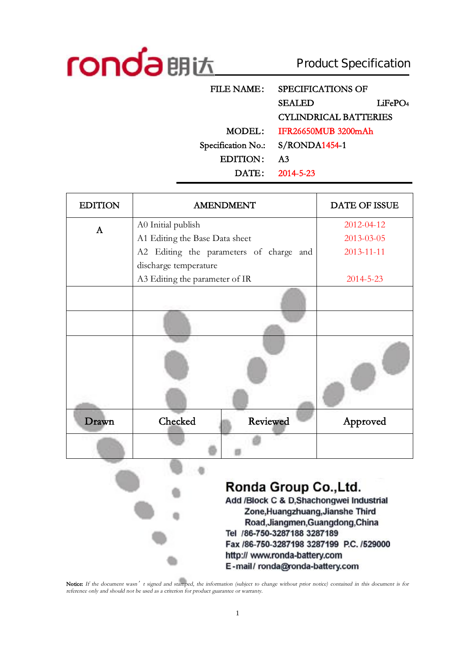

 $\ddot{\phantom{a}}$ 

Product Specification

| <b>FILE NAME:</b>  | <b>SPECIFICATIONS OF</b>     |                     |
|--------------------|------------------------------|---------------------|
|                    | <b>SEALED</b>                | LiFePO <sub>4</sub> |
|                    | <b>CYLINDRICAL BATTERIES</b> |                     |
| MODEL:             | IFR26650MUB 3200mAh          |                     |
| Specification No.: | $S/RONDA1454-1$              |                     |
| <b>EDITION:</b>    | A <sub>3</sub>               |                     |
|                    | DATE: 2014-5-23              |                     |

| <b>EDITION</b> | <b>AMENDMENT</b>                        | DATE OF ISSUE   |
|----------------|-----------------------------------------|-----------------|
| $\mathbf{A}$   | A0 Initial publish                      | 2012-04-12      |
|                | A1 Editing the Base Data sheet          | 2013-03-05      |
|                | A2 Editing the parameters of charge and | 2013-11-11      |
|                | discharge temperature                   |                 |
|                | A3 Editing the parameter of IR          | $2014 - 5 - 23$ |
|                |                                         |                 |
|                |                                         |                 |
|                |                                         |                 |
| Drawn          | Checked<br>Reviewed                     | Approved        |
|                |                                         |                 |

Ronda Group Co., Ltd. Add /Block C & D.Shachongwei Industrial Zone, Huangzhuang, Jianshe Third Road, Jiangmen, Guangdong, China Tel /86-750-3287188 3287189

Fax /86-750-3287198 3287199 P.C. /529000 http:// www.ronda-battery.com E-mail/ronda@ronda-battery.com

Notice: If the document wasn' t signed and stamped, the information (subject to change without prior notice) contained in this document is for *reference only and should not be used as <sup>a</sup> criterion for product guarantee or warranty.*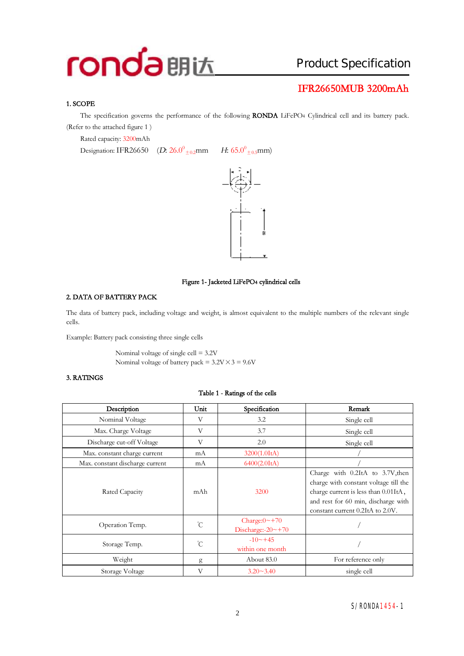## Product Specification

### **IFR26650MUB 3200mAh**

#### **1. SCOPE**

The specification governs the performance of the following **RONDA** LiFePO4 Cylindrical cell and its battery pack. (Refer to the attached figure 1 )

Rated capacity: 3200mAh

Designation: IFR26650 (*D*: 26.0<sup>0</sup><sub>±0.2</sub>mm *H*: 65.0<sup>0</sup>





#### **Figure 1- Jacketed LiFePO4 cylindrical cells**

#### **2. DATA OF BATTERY PACK**

The data of battery pack, including voltage and weight, is almost equivalent to the multiple numbers of the relevant single cells.

Example: Battery pack consisting three single cells

Nominal voltage of single cell = 3.2V Nominal voltage of battery pack =  $3.2V \times 3 = 9.6V$ 

#### **3. RATINGS**

#### **Table 1 - Ratings of the cells**

| Description                     | Unit         | Specification                                     | Remark                                                                                                                                                                                       |
|---------------------------------|--------------|---------------------------------------------------|----------------------------------------------------------------------------------------------------------------------------------------------------------------------------------------------|
| Nominal Voltage                 | V            | 3.2                                               | Single cell                                                                                                                                                                                  |
| Max. Charge Voltage             | V            | 3.7                                               | Single cell                                                                                                                                                                                  |
| Discharge cut-off Voltage       | V            | 2.0                                               | Single cell                                                                                                                                                                                  |
| Max. constant charge current    | mA           | 3200(1.0ItA)                                      |                                                                                                                                                                                              |
| Max. constant discharge current | mA           | 6400(2.0ItA)                                      |                                                                                                                                                                                              |
| Rated Capacity                  | mAh          | 3200                                              | Charge with 0.2ItA to 3.7V, then<br>charge with constant voltage till the<br>charge current is less than 0.01ItA,<br>and rest for 60 min, discharge with<br>constant current 0.2ItA to 2.0V. |
| Operation Temp.                 | $^{\circ}$ C | Charge: $0 \sim +70$<br>Discharge:- $20 \sim +70$ |                                                                                                                                                                                              |
| Storage Temp.                   | $^{\circ}C$  | $-10 \sim +45$<br>within one month                |                                                                                                                                                                                              |
| Weight                          | g            | About 83.0                                        | For reference only                                                                                                                                                                           |
| Storage Voltage                 | V            | $3.20 - 3.40$                                     | single cell                                                                                                                                                                                  |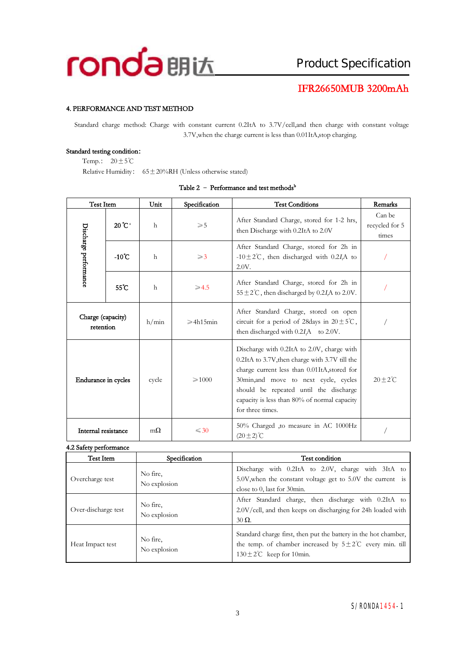

#### **4. PERFORMANCE AND TEST METHOD**

Standard charge method: Charge with constant current 0.2ItA to 3.7V/cell,and then charge with constant voltage 3.7V,when the charge current is less than 0.01ItA,stop charging.

#### **Standard testing condition:**

Temp.:  $20 \pm 5^{\circ}$ C

Relative Humidity:  $65 \pm 20\%$ RH (Unless otherwise stated)

|  | Table 2 - Performance and test methods <sup>b</sup> |  |
|--|-----------------------------------------------------|--|
|--|-----------------------------------------------------|--|

| Test Item                      |                   | Unit         | Specification       | <b>Test Conditions</b>                                                                                                                                                                                                                                                                              | Remarks                           |
|--------------------------------|-------------------|--------------|---------------------|-----------------------------------------------------------------------------------------------------------------------------------------------------------------------------------------------------------------------------------------------------------------------------------------------------|-----------------------------------|
|                                | 20°C <sup>a</sup> | $\mathsf{h}$ | $\geqslant 5$       | After Standard Charge, stored for 1-2 hrs,<br>then Discharge with 0.2ItA to 2.0V                                                                                                                                                                                                                    | Can be<br>recycled for 5<br>times |
| Discharge performance          | $-10^{\circ}$ C   | $\mathbf{h}$ | $\geqslant$ 3       | After Standard Charge, stored for 2h in<br>-10 $\pm$ 2°C, then discharged with 0.2I <sub>A</sub> to<br>2.0V.                                                                                                                                                                                        |                                   |
|                                | 55°C              | $\mathsf{h}$ | $\geqslant$ 4.5     | After Standard Charge, stored for 2h in<br>$55 \pm 2^{\circ}$ C, then discharged by 0.2 <i>I</i> <sub><i>A</i></sub> to 2.0V.                                                                                                                                                                       |                                   |
| Charge (capacity)<br>retention |                   | h/min        | $\geqslant$ 4h15min | After Standard Charge, stored on open<br>circuit for a period of 28 days in $20 \pm 5^{\circ}$ C,<br>then discharged with $0.2I$ A to $2.0V$ .                                                                                                                                                      |                                   |
| Endurance in cycles            |                   | cycle        | $\geq 1000$         | Discharge with 0.2ItA to 2.0V, charge with<br>0.2ItA to 3.7V, then charge with 3.7V till the<br>charge current less than 0.01ItA, stored for<br>30min, and move to next cycle, cycles<br>should be repeated until the discharge<br>capacity is less than 80% of normal capacity<br>for three times. | $20 + 2^{\circ}C$                 |
| Internal resistance            |                   | $m\Omega$    | $\leq 30$           | 50% Charged ,to measure in AC 1000Hz<br>$(20 \pm 2)$ °C                                                                                                                                                                                                                                             |                                   |

**4.2 Safety performance** 

| $\mu$ out $\mu$ point in the $\sigma$ |                                 |                                                                                                                                                                                   |  |
|---------------------------------------|---------------------------------|-----------------------------------------------------------------------------------------------------------------------------------------------------------------------------------|--|
| Test Item                             | Specification<br>Test condition |                                                                                                                                                                                   |  |
| Overcharge test                       | No fire.<br>No explosion        | Discharge with 0.2ItA to 2.0V, charge with 3ItA to<br>5.0V, when the constant voltage get to 5.0V the current is<br>close to $0$ , last for 30 $\min$ .                           |  |
| Over-discharge test                   | No fire.<br>No explosion        | After Standard charge, then discharge with 0.2ItA to<br>2.0V/cell, and then keeps on discharging for 24h loaded with<br>$30 \Omega$ .                                             |  |
| Heat Impact test                      | No fire.<br>No explosion        | Standard charge first, then put the battery in the hot chamber,<br>the temp. of chamber increased by $5 \pm 2^{\circ}$ C every min. till<br>$130 \pm 2^{\circ}$ C keep for 10min. |  |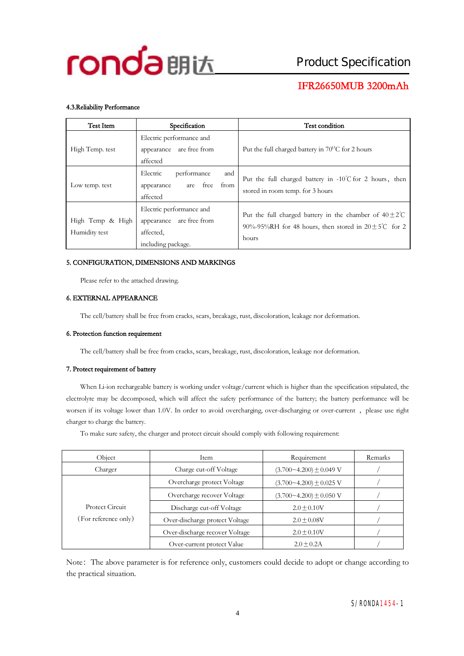

#### **4.3.Reliability Performance**

| Test Item                         | Specification                                                                           | Test condition                                                                                                                                 |
|-----------------------------------|-----------------------------------------------------------------------------------------|------------------------------------------------------------------------------------------------------------------------------------------------|
| High Temp. test                   | Electric performance and<br>appearance are free from<br>affected                        | Put the full charged battery in $70^{\circ}$ C for 2 hours                                                                                     |
| Low temp. test                    | Electric<br>performance<br>and<br>from<br>free<br>appearance<br>are<br>affected         | Put the full charged battery in $-10^{\circ}$ C for 2 hours, then<br>stored in room temp. for 3 hours                                          |
| High Temp & High<br>Humidity test | Electric performance and<br>appearance are free from<br>affected.<br>including package. | Put the full charged battery in the chamber of $40\pm2\degree$ C<br>90%-95%RH for 48 hours, then stored in $20 \pm 5^{\circ}$ C for 2<br>hours |

#### **5. CONFIGURATION, DIMENSIONS AND MARKINGS**

Please refer to the attached drawing.

#### **6. EXTERNAL APPEARANCE**

The cell/battery shall be free from cracks, scars, breakage, rust, discoloration, leakage nor deformation.

#### **6. Protection function requirement**

The cell/battery shall be free from cracks, scars, breakage, rust, discoloration, leakage nor deformation.

#### **7. Protect requirement of battery**

When Li-ion rechargeable battery is working under voltage/current which is higher than the specification stipulated, the electrolyte may be decomposed, which will affect the safety performance of the battery; the battery performance will be worsen if its voltage lower than 1.0V. In order to avoid overcharging, over-discharging or over-current, please use right charger to charge the battery.

To make sure safety, the charger and protect circuit should comply with following requirement:

| Object                                  | Item                           | Requirement                   | Remarks |
|-----------------------------------------|--------------------------------|-------------------------------|---------|
| Charger                                 | Charge cut-off Voltage         | $(3.700 - 4.200) \pm 0.049$ V |         |
| Protect Circuit<br>(For reference only) | Overcharge protect Voltage     | $(3.700 - 4.200) \pm 0.025$ V |         |
|                                         | Overcharge recover Voltage     | $(3.700 - 4.200) \pm 0.050$ V |         |
|                                         | Discharge cut-off Voltage      | $2.0 + 0.10V$                 |         |
|                                         | Over-discharge protect Voltage | $2.0 + 0.08V$                 |         |
|                                         | Over-discharge recover Voltage | $2.0 + 0.10V$                 |         |
|                                         | Over-current protect Value     | $2.0 + 0.2A$                  |         |

Note: The above parameter is for reference only, customers could decide to adopt or change according to the practical situation.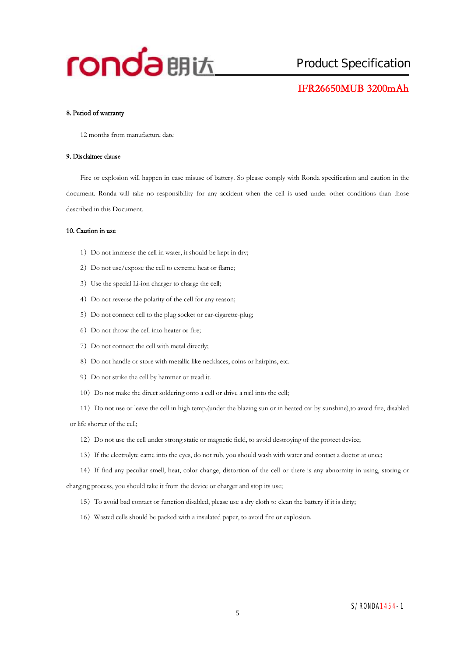

#### **8. Period of warranty**

12 months from manufacture date

#### **9. Disclaimer clause**

Fire or explosion will happen in case misuse of battery. So please comply with Ronda specification and caution in the document. Ronda will take no responsibility for any accident when the cell is used under other conditions than those described in this Document.

#### **10. Caution in use**

- 1) Do not immerse the cell in water, it should be kept in dry;
- 2) Do not use/expose the cell to extreme heat or flame;
- 3) Use the special Li-ion charger to charge the cell;
- 4) Do not reverse the polarity of the cell for any reason;
- 5) Do not connect cell to the plug socket or car-cigarette-plug;
- 6) Do not throw the cell into heater or fire;
- 7) Do not connect the cell with metal directly;
- 8) Do not handle or store with metallic like necklaces, coins or hairpins, etc.
- 9) Do not strike the cell by hammer or tread it.
- 10) Do not make the direct soldering onto a cell or drive a nail into the cell;
- 11)Do not use or leave the cell in high temp.(under the blazing sun or in heated car by sunshine),to avoid fire, disabled

or life shorter of the cell;

- 12)Do not use the cell under strong static or magnetic field, to avoid destroying of the protect device;
- 13) If the electrolyte came into the eyes, do not rub, you should wash with water and contact a doctor at once;
- 14)If find any peculiar smell, heat, color change, distortion of the cell or there is any abnormity in using, storing or

charging process, you should take it from the device or charger and stop its use;

- 15)To avoid bad contact or function disabled, please use a dry cloth to clean the battery if it is dirty;
- 16)Wasted cells should be packed with a insulated paper, to avoid fire or explosion.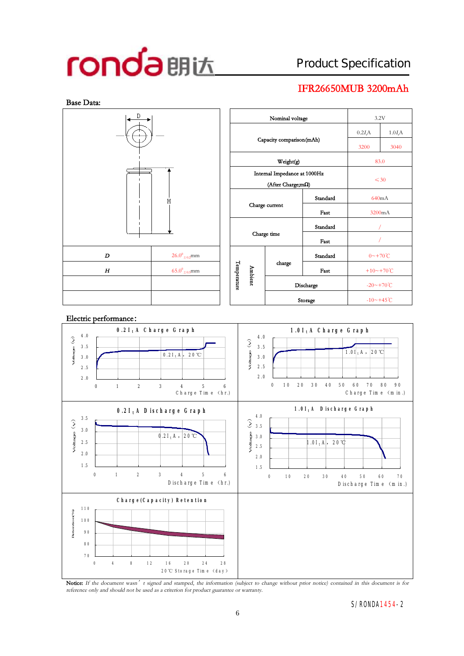## Product Specification

## **IFR26650MUB 3200mAh**





Notice: If the document wasn' t signed and stamped, the information (subject to change without prior notice) contained in this document is for *reference only and should not be used as <sup>a</sup> criterion for product guarantee or warranty.*

#### S/RONDA1454-2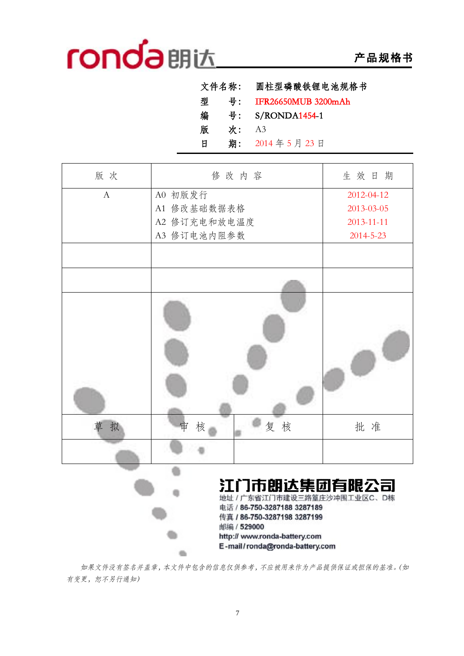# **产品规格书**

|   | 文件名称: | 圆柱型磷酸铁锂电池规格书        |
|---|-------|---------------------|
| 型 | 号:    | IFR26650MUB 3200mAh |
| 编 | 号:    | S/RONDA1454-1       |
| 版 | 次:    | A <sub>3</sub>      |
| 日 | 期:    | 2014年5月23日          |

| 版次           | 修改内容                                                                                                                     | 生效日期            |
|--------------|--------------------------------------------------------------------------------------------------------------------------|-----------------|
|              |                                                                                                                          |                 |
| $\mathbf{A}$ | A0 初版发行                                                                                                                  | 2012-04-12      |
|              | A1 修改基础数据表格                                                                                                              | 2013-03-05      |
|              | A2 修订充电和放电温度                                                                                                             | 2013-11-11      |
|              | A3 修订电池内阻参数                                                                                                              | $2014 - 5 - 23$ |
|              |                                                                                                                          |                 |
|              |                                                                                                                          |                 |
|              |                                                                                                                          |                 |
| 拟<br>草       | 复核<br>核<br>审                                                                                                             | 批准              |
|              |                                                                                                                          |                 |
|              | 江门市朗达集团有限公司<br>地址 / 广东省江门市建设三路篁庄沙冲围工业区C、D栋<br>电话 / 86-750-3287188 3287189<br>传真 / 86-750-3287198 3287199<br>中以中 / 529000 |                 |

*如果文件没有签名并盖章,本文件中包含的信息仅供参考,不应被用来作为产品提供保证或担保的基准。(如 有变更,恕不另行通知)* 

http:// www.ronda-battery.com E-mail/ronda@ronda-battery.com

 $\bullet$ 

 $\alpha$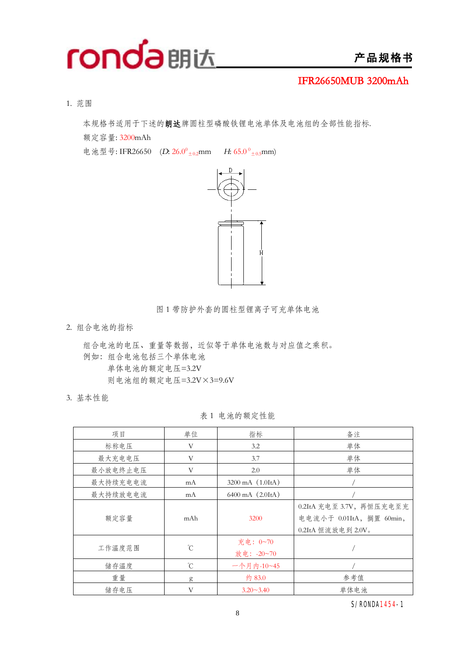

1. 范围

本规格书适用于下述的**朗达**牌圆柱型磷酸铁锂电池单体及电池组的全部性能指标.

额定容量: 3200mAh

电池型号: IFR26650 (D: 26.0<sup>0</sup><sub>±0.2</sub>mm *H*: 65.0<sup>0</sup><sub>±0.5</sub>mm)



图 1 带防护外套的圆柱型锂离子可充单体电池

2. 组合电池的指标

组合电池的电压、重量等数据,近似等于单体电池数与对应值之乘积。 例如:组合电池包括三个单体电池 单体电池的额定电压=3.2V 则电池组的额定电压=3.2V×3=9.6V

3. 基本性能

表 1 电池的额定性能

| 项目       | 单位          | 指标                         | 备注                                                                         |
|----------|-------------|----------------------------|----------------------------------------------------------------------------|
| 标称电压     | V           | 3.2                        | 单体                                                                         |
| 最大充电电压   | V           | 3.7                        | 单体                                                                         |
| 最小放电终止电压 | V           | 2.0                        | 单体                                                                         |
| 最大持续充电电流 | mA          | 3200 mA (1.0ItA)           |                                                                            |
| 最大持续放电电流 | mA          | $6400 \text{ mA}$ $(2.01)$ |                                                                            |
| 额定容量     | mAh         | 3200                       | 0.2ItA 充电至 3.7V, 再恒压充电至充<br>电电流小于 0.01ItA, 搁置 60min,<br>0.2ItA 恒流放电到 2.0V。 |
| 工作温度范围   | °C          | 充电: 0~70<br>放电: -20~70     |                                                                            |
| 储存温度     | $^{\circ}C$ | 一个月内-10~45                 |                                                                            |
| 重量       | g           | 约 83.0                     | 参考值                                                                        |
| 储存电压     | V           | $3.20 - 3.40$              | 单体电池                                                                       |

S/RONDA1454-1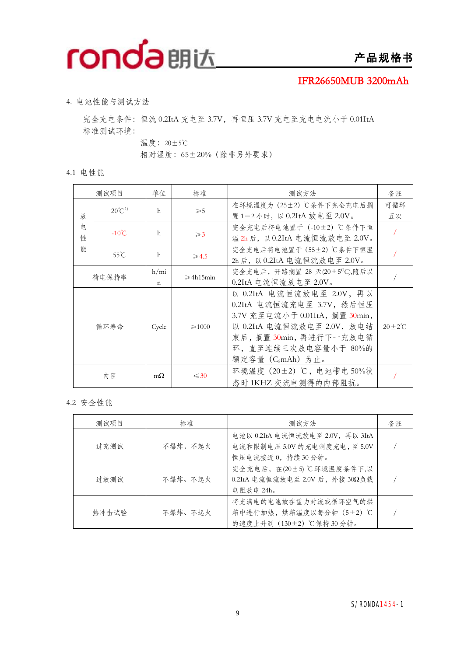

4. 电池性能与测试方法

完全充电条件: 恒流 0.2ItA 充电至 3.7V, 再恒压 3.7V 充电至充电电流小于 0.01ItA 标准测试环境:

温度:20±5℃

相对湿度:65±20%(除非另外要求)

4.1 电性能

|        | 测试项目              | 单位                    | 标准                  | 测试方法                                                                                                                                                                                                    | 备注                |
|--------|-------------------|-----------------------|---------------------|---------------------------------------------------------------------------------------------------------------------------------------------------------------------------------------------------------|-------------------|
| 放      | $20^{\circ}C^{1}$ | h                     | $\geqslant 5$       | 在环境温度为 (25±2) ℃条件下完全充电后搁<br>置1-2小时, 以 0.2ItA 放电至 2.0V。                                                                                                                                                  | 可循环<br>五次         |
| 电<br>性 | $-10^{\circ}$ C   | h                     | $\geqslant$ 3       | 完全充电后将电池置于 (-10±2) ℃条件下恒<br>温 2h 后, 以 0.2ItA 电流恒流放电至 2.0V。                                                                                                                                              |                   |
| 能      | $55^{\circ}$ C    | h                     | $\geqslant$ 4.5     | 完全充电后将电池置于 (55±2) ℃条件下恒温<br>2h 后, 以 0.2ItA 电流恒流放电至 2.0V。                                                                                                                                                |                   |
|        | 荷电保持率             | h/min<br>$\mathsf{n}$ | $\geqslant$ 4h15min | 完全充电后, 开路搁置 28 天(20±5°C),随后以<br>$0.2$ ItA 电流恒流放电至 2.0V。                                                                                                                                                 |                   |
|        | 循环寿命              | Cycle                 | $\geq 1000$         | 以 0.2ItA 电流恒流放电至 2.0V, 再以<br>0.2ItA 电流恒流充电至 3.7V, 然后恒压<br>3.7V 充至电流小于 0.01ItA, 搁置 30min,<br>以 0.2ItA 电流恒流放电至 2.0V, 放电结<br>束后,搁置 30min, 再进行下一充放电循<br>环, 直至连续三次放电容量小于 80%的<br>额定容量(C <sub>5</sub> mAh)为止。 | $20 + 2^{\circ}C$ |
|        | 内阻                | $m\Omega$             | $\leq 30$           | 环境温度 (20±2) ℃, 电池带电 50%状<br>态时1KHZ 交流电测得的内部阻抗。                                                                                                                                                          |                   |

4.2 安全性能

| 测试项目  | 标准      | 测试方法                                                                                    | 备注 |
|-------|---------|-----------------------------------------------------------------------------------------|----|
| 过充测试  | 不爆炸,不起火 | 电池以 0.2ItA 电流恒流放电至 2.0V, 再以 3ItA<br>电流和限制电压 5.0V 的充电制度充电, 至 5.0V<br>恒压电流接近 0, 持续 30 分钟。 |    |
| 过放测试  | 不爆炸、不起火 | 完全充电后, 在(20±5)℃环境温度条件下,以<br>0.2ItA 电流恒流放电至 2.0V 后, 外接 30Ω负载<br>电阻放电 24h。                |    |
| 热冲击试验 | 不爆炸、不起火 | 将充满电的电池放在重力对流或循环空气的烘<br>箱中进行加热, 烘箱温度以每分钟 (5±2) ℃<br>的速度上升到 (130±2) ℃保持30分钟。             |    |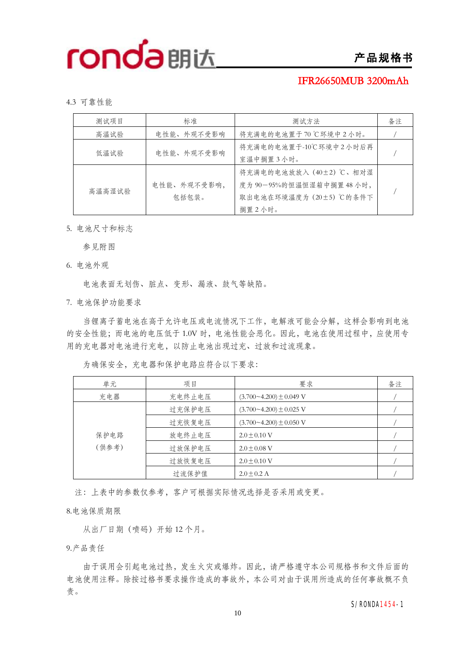### **IFR26650MUB 3200mAh**

4.3 可靠性能

| 测试项目   | 标准                   | 测试方法                                                                                     | 备注 |
|--------|----------------------|------------------------------------------------------------------------------------------|----|
| 高温试验   | 电性能、外观不受影响           | 将充满电的电池置于70℃环境中2小时。                                                                      |    |
| 低温试验   | 电性能、外观不受影响           | 将充满电的电池置于-10℃环境中2小时后再<br>室温中搁置3小时。                                                       |    |
| 高温高湿试验 | 电性能、外观不受影响,<br>包括包装。 | 将充满电的电池放放入 (40±2)℃、相对湿<br>度为 90-95%的恒温恒湿箱中搁置 48 小时,<br>取出电池在环境温度为 (20±5) ℃的条件下<br>搁置2小时。 |    |

5. 电池尺寸和标志

参见附图

6. 电池外观

电池表面无划伤、脏点、变形、漏液、鼓气等缺陷。

7. 电池保护功能要求

当锂离子蓄电池在高于允许电压或电流情况下工作,电解液可能会分解,这样会影响到电池 的安全性能;而电池的电压低于 1.0V 时,电池性能会恶化。因此,电池在使用过程中,应使用专 用的充电器对电池进行充电,以防止电池出现过充、过放和过流现象。

| 单元    | 项目     | 要求                            | 备注 |
|-------|--------|-------------------------------|----|
| 充电器   | 充电终止电压 | $(3.700 - 4.200) \pm 0.049$ V |    |
|       | 过充保护电压 | $(3.700 - 4.200) \pm 0.025$ V |    |
|       | 过充恢复电压 | $(3.700 - 4.200) \pm 0.050$ V |    |
| 保护电路  | 放电终止电压 | $2.0 + 0.10$ V                |    |
| (供参考) | 过放保护电压 | $2.0 + 0.08$ V                |    |
|       | 过放恢复电压 | $2.0 + 0.10$ V                |    |
|       | 过流保护值  | $2.0 \pm 0.2$ A               |    |

为确保安全,充电器和保护电路应符合以下要求:

注:上表中的参数仅参考,客户可根据实际情况选择是否采用或变更。

8.电池保质期限

从出厂日期(喷码)开始 12 个月。

9.产品责任

由于误用会引起电池过热,发生火灾或爆炸。因此,请严格遵守本公司规格书和文件后面的 电池使用注释。除按过格书要求操作造成的事故外,本公司对由于误用所造成的任何事故概不负 责。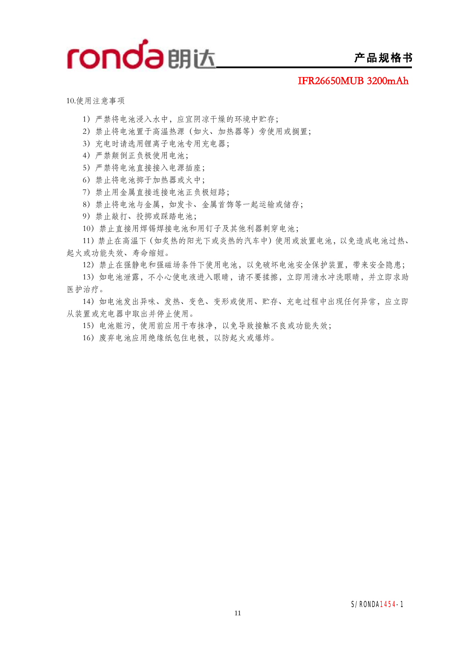

10.使用注意事项

- )严禁将电池浸入水中,应宜阴凉干燥的环境中贮存;
- )禁止将电池置于高温热源(如火、加热器等)旁使用或搁置;
- )充电时请选用锂离子电池专用充电器;
- )严禁颠倒正负极使用电池;
- )严禁将电池直接接入电源插座;
- )禁止将电池掷于加热器或火中;
- )禁止用金属直接连接电池正负极短路;
- )禁止将电池与金属,如发卡、金属首饰等一起运输或储存;
- )禁止敲打、投掷或踩踏电池;
- )禁止直接用焊锡焊接电池和用钉子及其他利器刺穿电池;

)禁止在高温下(如炙热的阳光下或炎热的汽车中)使用或放置电池,以免造成电池过热、 起火或功能失效、寿命缩短。

)禁止在强静电和强磁场条件下使用电池,以免破坏电池安全保护装置,带来安全隐患;

)如电池泄露,不小心使电液进入眼睛,请不要揉擦,立即用清水冲洗眼睛,并立即求助 医护治疗。

)如电池发出异味、发热、变色、变形或使用、贮存、充电过程中出现任何异常,应立即 从装置或充电器中取出并停止使用。

- )电池赃污,使用前应用干布抹净,以免导致接触不良或功能失效;
- )废弃电池应用绝缘纸包住电极,以防起火或爆炸。